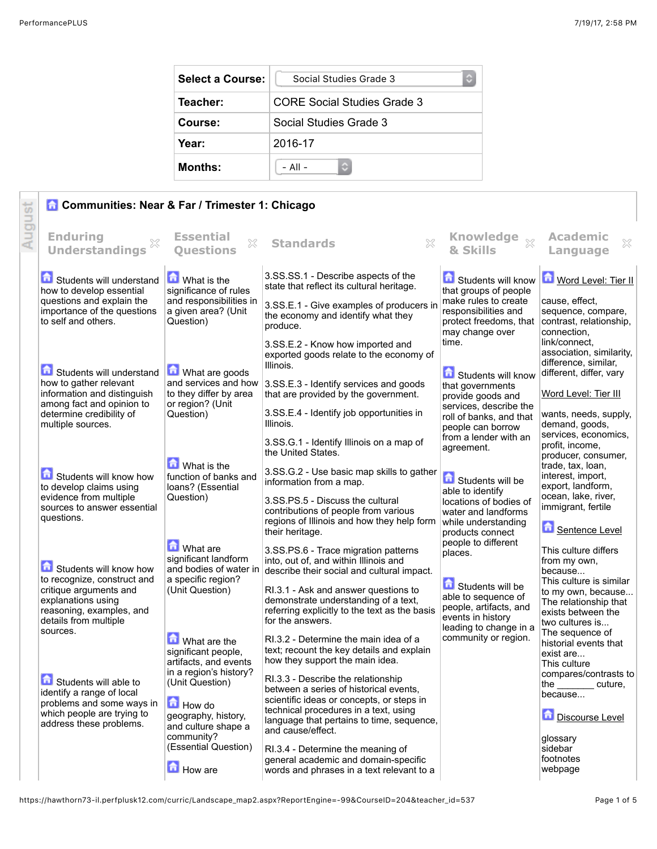| <b>Select a Course:</b> | Social Studies Grade 3      |  |
|-------------------------|-----------------------------|--|
| Teacher:                | CORE Social Studies Grade 3 |  |
| Course:                 | Social Studies Grade 3      |  |
| Year:                   | 2016-17                     |  |
| <b>Months:</b>          | $-$ All $-$                 |  |

|        | <b>Communities: Near &amp; Far / Trimester 1: Chicago</b>                                                                                                  |                                                                            |                                                                                                                                                                                                                 |                                                                                           |                                                                                                         |
|--------|------------------------------------------------------------------------------------------------------------------------------------------------------------|----------------------------------------------------------------------------|-----------------------------------------------------------------------------------------------------------------------------------------------------------------------------------------------------------------|-------------------------------------------------------------------------------------------|---------------------------------------------------------------------------------------------------------|
| August | <b>Enduring</b><br><b>Understandings</b>                                                                                                                   | <b>Essential</b><br>$\mathbb{Z}^2$<br><b>Ouestions</b>                     | $\boldsymbol{\mathbb{X}}$<br><b>Standards</b>                                                                                                                                                                   | Knowledge xx<br>& Skills                                                                  | <b>Academic</b><br>X<br>Language                                                                        |
|        | Students will understand<br>how to develop essential                                                                                                       | <b>M</b> What is the<br>significance of rules                              | 3.SS.SS.1 - Describe aspects of the<br>state that reflect its cultural heritage.                                                                                                                                | Students will know<br>that groups of people                                               | Word Level: Tier II                                                                                     |
|        | questions and explain the<br>importance of the questions<br>to self and others.                                                                            | and responsibilities in<br>a given area? (Unit<br>Question)                | 3.SS.E.1 - Give examples of producers in<br>the economy and identify what they<br>produce.                                                                                                                      | make rules to create<br>responsibilities and<br>protect freedoms, that<br>may change over | cause, effect,<br>sequence, compare,<br>contrast, relationship,<br>connection,                          |
|        | Students will understand                                                                                                                                   | What are goods                                                             | 3.SS.E.2 - Know how imported and<br>exported goods relate to the economy of<br>Illinois.                                                                                                                        | time.<br>Students will know                                                               | link/connect.<br>association, similarity,<br>difference, similar,<br>different, differ, vary            |
|        | how to gather relevant<br>information and distinguish<br>among fact and opinion to                                                                         | and services and how<br>to they differ by area<br>or region? (Unit         | 3.SS.E.3 - Identify services and goods<br>that are provided by the government.                                                                                                                                  | that governments<br>provide goods and                                                     | Word Level: Tier III                                                                                    |
|        | determine credibility of<br>multiple sources.                                                                                                              | Question)                                                                  | 3.SS.E.4 - Identify job opportunities in<br>Illinois.                                                                                                                                                           | services, describe the<br>roll of banks, and that<br>people can borrow                    | wants, needs, supply,<br>demand, goods,                                                                 |
|        |                                                                                                                                                            | What is the                                                                | 3.SS.G.1 - Identify Illinois on a map of<br>the United States.                                                                                                                                                  | from a lender with an<br>agreement.                                                       | services, economics,<br>profit, income,<br>producer, consumer,<br>trade, tax, loan,                     |
|        | Students will know how<br>to develop claims using                                                                                                          | function of banks and<br>loans? (Essential                                 | 3.SS.G.2 - Use basic map skills to gather<br>information from a map.                                                                                                                                            | Students will be<br>able to identify                                                      | interest, import,<br>export, landform,                                                                  |
|        | evidence from multiple<br>sources to answer essential<br>questions.                                                                                        | Question)                                                                  | 3.SS.PS.5 - Discuss the cultural<br>contributions of people from various<br>regions of Illinois and how they help form<br>their heritage.                                                                       | locations of bodies of<br>water and landforms<br>while understanding<br>products connect  | ocean, lake, river,<br>immigrant, fertile<br>Sentence Level                                             |
|        |                                                                                                                                                            | <b>M</b> What are<br>significant landform                                  | 3.SS.PS.6 - Trace migration patterns<br>into, out of, and within Illinois and                                                                                                                                   | people to different<br>places.                                                            | This culture differs<br>from my own,                                                                    |
|        | Students will know how<br>to recognize, construct and<br>critique arguments and<br>explanations using<br>reasoning, examples, and<br>details from multiple | and bodies of water in<br>a specific region?<br>(Unit Question)            | describe their social and cultural impact.<br>RI.3.1 - Ask and answer questions to<br>demonstrate understanding of a text,<br>referring explicitly to the text as the basis                                     | Students will be<br>able to sequence of<br>people, artifacts, and<br>events in history    | because<br>This culture is similar<br>to my own, because<br>The relationship that<br>exists between the |
|        | sources.                                                                                                                                                   | <b>M</b> What are the<br>significant people,<br>artifacts, and events      | for the answers.<br>RI.3.2 - Determine the main idea of a<br>text; recount the key details and explain<br>how they support the main idea.                                                                       | leading to change in a<br>community or region.                                            | two cultures is<br>The sequence of<br>historial events that<br>exist are<br>This culture                |
|        | Students will able to<br>identify a range of local<br>problems and some ways in<br>which people are trying to                                              | in a region's history?<br>(Unit Question)<br>How do<br>geography, history, | RI.3.3 - Describe the relationship<br>between a series of historical events.<br>scientific ideas or concepts, or steps in<br>technical procedures in a text, using<br>language that pertains to time, sequence, |                                                                                           | compares/contrasts to<br>the cuture,<br>because<br>尙<br><b>Discourse Level</b>                          |
|        | address these problems.                                                                                                                                    | and culture shape a<br>community?<br>(Essential Question)<br>How are       | and cause/effect.<br>RI.3.4 - Determine the meaning of<br>general academic and domain-specific<br>words and phrases in a text relevant to a                                                                     |                                                                                           | qlossarv<br>sidebar<br>footnotes<br>webpage                                                             |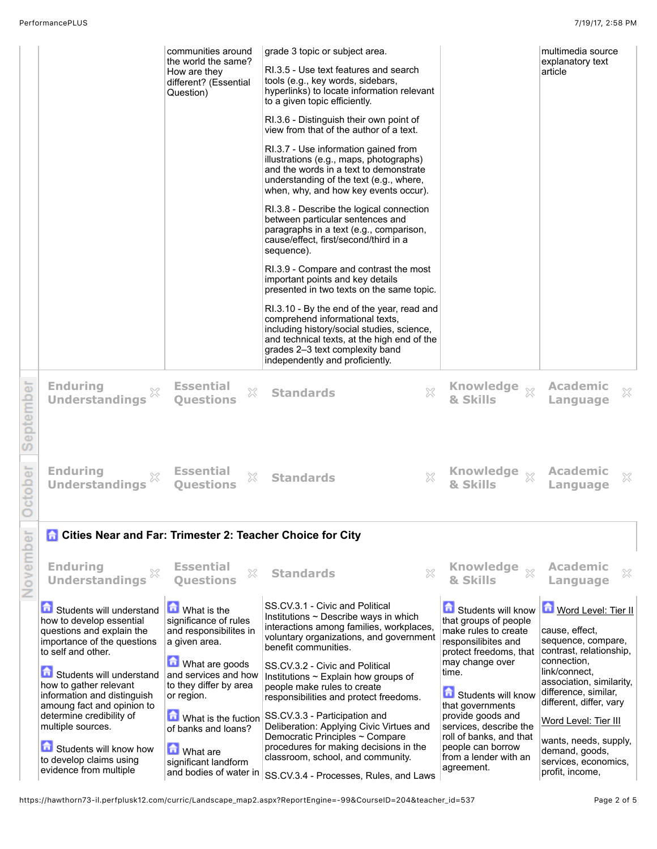|           |                                                                                                                                        | communities around<br>the world the same?<br>How are they<br>different? (Essential<br>Question) | grade 3 topic or subject area.<br>RI.3.5 - Use text features and search<br>tools (e.g., key words, sidebars,<br>hyperlinks) to locate information relevant<br>to a given topic efficiently.<br>RI.3.6 - Distinguish their own point of<br>view from that of the author of a text.<br>RI.3.7 - Use information gained from<br>illustrations (e.g., maps, photographs)<br>and the words in a text to demonstrate<br>understanding of the text (e.g., where,<br>when, why, and how key events occur).<br>RI.3.8 - Describe the logical connection<br>between particular sentences and<br>paragraphs in a text (e.g., comparison,<br>cause/effect, first/second/third in a<br>sequence).<br>RI.3.9 - Compare and contrast the most<br>important points and key details<br>presented in two texts on the same topic.<br>RI.3.10 - By the end of the year, read and<br>comprehend informational texts,<br>including history/social studies, science,<br>and technical texts, at the high end of the<br>grades 2-3 text complexity band<br>independently and proficiently. |                                                                                                                      | multimedia source<br>explanatory text<br>article                                                            |  |
|-----------|----------------------------------------------------------------------------------------------------------------------------------------|-------------------------------------------------------------------------------------------------|---------------------------------------------------------------------------------------------------------------------------------------------------------------------------------------------------------------------------------------------------------------------------------------------------------------------------------------------------------------------------------------------------------------------------------------------------------------------------------------------------------------------------------------------------------------------------------------------------------------------------------------------------------------------------------------------------------------------------------------------------------------------------------------------------------------------------------------------------------------------------------------------------------------------------------------------------------------------------------------------------------------------------------------------------------------------|----------------------------------------------------------------------------------------------------------------------|-------------------------------------------------------------------------------------------------------------|--|
| September | <b>Enduring</b><br><b>Understandings</b>                                                                                               | <b>Essential</b><br>X<br><b>Ouestions</b>                                                       | ×<br><b>Standards</b>                                                                                                                                                                                                                                                                                                                                                                                                                                                                                                                                                                                                                                                                                                                                                                                                                                                                                                                                                                                                                                               | Knowledge xx<br>& Skills                                                                                             | <b>Academic</b><br>×<br>Language                                                                            |  |
| ctober    | <b>Enduring</b><br><b>Understandings</b>                                                                                               | <b>Essential</b><br>X<br><b>Ouestions</b>                                                       | X<br><b>Standards</b>                                                                                                                                                                                                                                                                                                                                                                                                                                                                                                                                                                                                                                                                                                                                                                                                                                                                                                                                                                                                                                               | & Skills                                                                                                             | <b>Academic</b><br>×<br>Language                                                                            |  |
|           | <b>Cities Near and Far: Trimester 2: Teacher Choice for City</b>                                                                       |                                                                                                 |                                                                                                                                                                                                                                                                                                                                                                                                                                                                                                                                                                                                                                                                                                                                                                                                                                                                                                                                                                                                                                                                     |                                                                                                                      |                                                                                                             |  |
| Novembe   | <b>Enduring</b><br><b>Understandings</b>                                                                                               | <b>Essential</b><br>X<br><b>Ouestions</b>                                                       | X<br><b>Standards</b>                                                                                                                                                                                                                                                                                                                                                                                                                                                                                                                                                                                                                                                                                                                                                                                                                                                                                                                                                                                                                                               | Knowledge xx<br>& Skills                                                                                             | <b>Academic</b><br>Language                                                                                 |  |
|           | Students will understand<br>how to develop essential<br>questions and explain the<br>importance of the questions<br>to self and other. | <b>M</b> What is the<br>significance of rules<br>and responsibilites in<br>a given area.        | SS.CV.3.1 - Civic and Political<br>Institutions $\sim$ Describe ways in which<br>interactions among families, workplaces,<br>voluntary organizations, and government<br>benefit communities.                                                                                                                                                                                                                                                                                                                                                                                                                                                                                                                                                                                                                                                                                                                                                                                                                                                                        | Students will know<br>that groups of people<br>make rules to create<br>responsilibites and<br>protect freedoms, that | Word Level: Tier II<br>cause, effect,<br>sequence, compare,<br>contrast, relationship,                      |  |
|           | Students will understand<br>how to gather relevant<br>information and distinguish<br>amoung fact and opinion to                        | What are goods<br>and services and how<br>to they differ by area<br>or region.                  | SS.CV.3.2 - Civic and Political<br>Institutions ~ Explain how groups of<br>people make rules to create<br>responsibilities and protect freedoms.                                                                                                                                                                                                                                                                                                                                                                                                                                                                                                                                                                                                                                                                                                                                                                                                                                                                                                                    | may change over<br>time.<br>Students will know<br>that governments                                                   | connection,<br>link/connect,<br>association, similarity,<br>difference, similar,<br>different, differ, vary |  |
|           | determine credibility of<br>multiple sources.                                                                                          | What is the fuction<br>of banks and loans?                                                      | SS.CV.3.3 - Participation and<br>Deliberation: Applying Civic Virtues and                                                                                                                                                                                                                                                                                                                                                                                                                                                                                                                                                                                                                                                                                                                                                                                                                                                                                                                                                                                           | provide goods and<br>services, describe the                                                                          | Word Level: Tier III                                                                                        |  |
|           | Students will know how<br>to develop claims using<br>evidence from multiple                                                            | <b>M</b> What are<br>significant landform<br>and bodies of water in                             | Democratic Principles ~ Compare<br>procedures for making decisions in the<br>classroom, school, and community.<br>SS.CV.3.4 - Processes, Rules, and Laws                                                                                                                                                                                                                                                                                                                                                                                                                                                                                                                                                                                                                                                                                                                                                                                                                                                                                                            | roll of banks, and that<br>people can borrow<br>from a lender with an<br>agreement.                                  | wants, needs, supply,<br>demand, goods,<br>services, economics,<br>profit, income,                          |  |

https://hawthorn73-il.perfplusk12.com/curric/Landscape\_map2.aspx?ReportEngine=-99&CourseID=204&teacher\_id=537 Page 2 of 5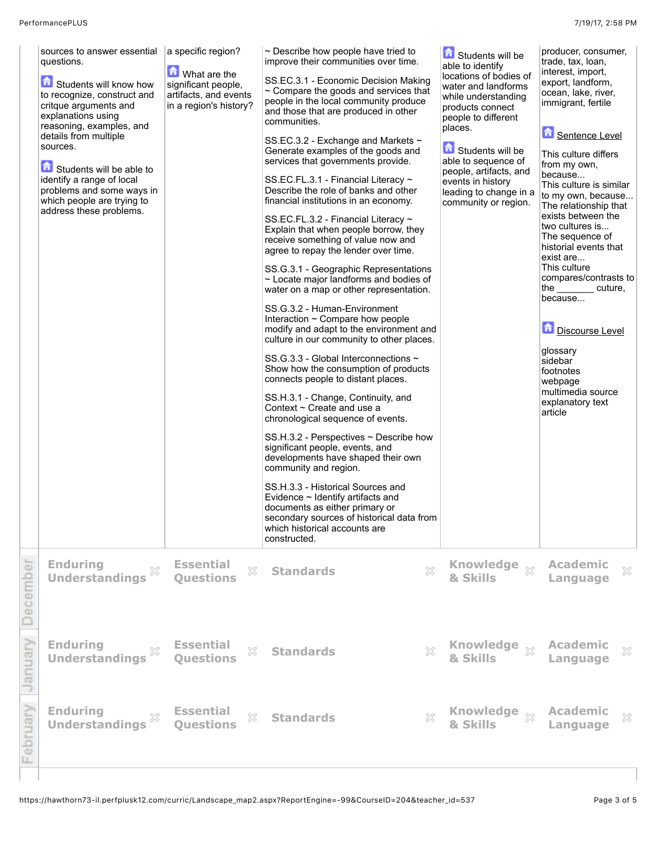|          | sources to answer essential<br>questions.<br>Students will know how<br>to recognize, construct and<br>critque arguments and<br>explanations using<br>reasoning, examples, and<br>details from multiple<br>sources.<br>Students will be able to<br>identify a range of local<br>problems and some ways in<br>which people are trying to<br>address these problems. | a specific region?<br><b>M</b> What are the<br>significant people,<br>artifacts, and events<br>in a region's history? | $\sim$ Describe how people have tried to<br>improve their communities over time.<br>SS.EC.3.1 - Economic Decision Making<br>$\sim$ Compare the goods and services that<br>people in the local community produce<br>and those that are produced in other<br>communities.<br>SS.EC.3.2 - Exchange and Markets ~<br>Generate examples of the goods and<br>services that governments provide.<br>SS.EC.FL.3.1 - Financial Literacy ~<br>Describe the role of banks and other<br>financial institutions in an economy.<br>SS.EC.FL.3.2 - Financial Literacy ~<br>Explain that when people borrow, they<br>receive something of value now and<br>agree to repay the lender over time.<br>SS.G.3.1 - Geographic Representations<br>~ Locate major landforms and bodies of<br>water on a map or other representation.<br>SS.G.3.2 - Human-Environment<br>Interaction ~ Compare how people<br>modify and adapt to the environment and<br>culture in our community to other places.<br>SS.G.3.3 - Global Interconnections ~<br>Show how the consumption of products<br>connects people to distant places.<br>SS.H.3.1 - Change, Continuity, and<br>Context $\sim$ Create and use a<br>chronological sequence of events.<br>$SS.H.3.2$ - Perspectives $\sim$ Describe how<br>significant people, events, and<br>developments have shaped their own<br>community and region.<br>SS.H.3.3 - Historical Sources and<br>Evidence $\sim$ Identify artifacts and<br>documents as either primary or<br>secondary sources of historical data from<br>which historical accounts are<br>constructed. | Students will be<br>able to identify<br>locations of bodies of<br>water and landforms<br>while understanding<br>products connect<br>people to different<br>places.<br>Students will be<br>able to sequence of<br>people, artifacts, and<br>events in history<br>leading to change in a<br>community or region. | producer, consumer,<br>trade, tax, loan,<br>interest, import,<br>export, landform,<br>ocean, lake, river,<br>immigrant, fertile<br>Sentence Level<br>This culture differs<br>from my own,<br>because<br>This culture is similar<br>to my own, because<br>The relationship that<br>exists between the<br>two cultures is<br>The sequence of<br>historial events that<br>exist are<br>This culture<br>compares/contrasts to<br>the the state of the state of the state of the state of the state of the state of the state of the state of the<br>cuture,<br>because<br>Discourse Level<br>glossary<br>sidebar<br>footnotes<br>webpage<br>multimedia source<br>explanatory text<br>article |
|----------|-------------------------------------------------------------------------------------------------------------------------------------------------------------------------------------------------------------------------------------------------------------------------------------------------------------------------------------------------------------------|-----------------------------------------------------------------------------------------------------------------------|---------------------------------------------------------------------------------------------------------------------------------------------------------------------------------------------------------------------------------------------------------------------------------------------------------------------------------------------------------------------------------------------------------------------------------------------------------------------------------------------------------------------------------------------------------------------------------------------------------------------------------------------------------------------------------------------------------------------------------------------------------------------------------------------------------------------------------------------------------------------------------------------------------------------------------------------------------------------------------------------------------------------------------------------------------------------------------------------------------------------------------------------------------------------------------------------------------------------------------------------------------------------------------------------------------------------------------------------------------------------------------------------------------------------------------------------------------------------------------------------------------------------------------------------------------------------------------|----------------------------------------------------------------------------------------------------------------------------------------------------------------------------------------------------------------------------------------------------------------------------------------------------------------|------------------------------------------------------------------------------------------------------------------------------------------------------------------------------------------------------------------------------------------------------------------------------------------------------------------------------------------------------------------------------------------------------------------------------------------------------------------------------------------------------------------------------------------------------------------------------------------------------------------------------------------------------------------------------------------|
| December | <b>Enduring</b><br>$\mathbb{X}$<br><b>Understandings</b>                                                                                                                                                                                                                                                                                                          | <b>Essential</b><br>$\mathbb{S}^\mathcal{C}_\sim$<br><b>Ouestions</b>                                                 | $\chi$<br><b>Standards</b>                                                                                                                                                                                                                                                                                                                                                                                                                                                                                                                                                                                                                                                                                                                                                                                                                                                                                                                                                                                                                                                                                                                                                                                                                                                                                                                                                                                                                                                                                                                                                      | Knowledge xx<br>& Skills                                                                                                                                                                                                                                                                                       | <b>Academic</b><br>$\mathbb{X}$<br>Language                                                                                                                                                                                                                                                                                                                                                                                                                                                                                                                                                                                                                                              |
| Vienuary | <b>Enduring</b><br><b>Understandings</b>                                                                                                                                                                                                                                                                                                                          | <b>Essential</b><br>X<br><b>Questions</b>                                                                             | <b>Standards</b><br>X                                                                                                                                                                                                                                                                                                                                                                                                                                                                                                                                                                                                                                                                                                                                                                                                                                                                                                                                                                                                                                                                                                                                                                                                                                                                                                                                                                                                                                                                                                                                                           | Knowledge xx<br>& Skills                                                                                                                                                                                                                                                                                       | <b>Academic</b><br>×<br>Language                                                                                                                                                                                                                                                                                                                                                                                                                                                                                                                                                                                                                                                         |
| pruary   | <b>Enduring</b><br>×<br><b>Understandings</b>                                                                                                                                                                                                                                                                                                                     | <b>Essential</b><br>X<br><b>Ouestions</b>                                                                             | X<br><b>Standards</b>                                                                                                                                                                                                                                                                                                                                                                                                                                                                                                                                                                                                                                                                                                                                                                                                                                                                                                                                                                                                                                                                                                                                                                                                                                                                                                                                                                                                                                                                                                                                                           | Knowledge xx<br>& Skills                                                                                                                                                                                                                                                                                       | <b>Academic</b><br>×<br>Language                                                                                                                                                                                                                                                                                                                                                                                                                                                                                                                                                                                                                                                         |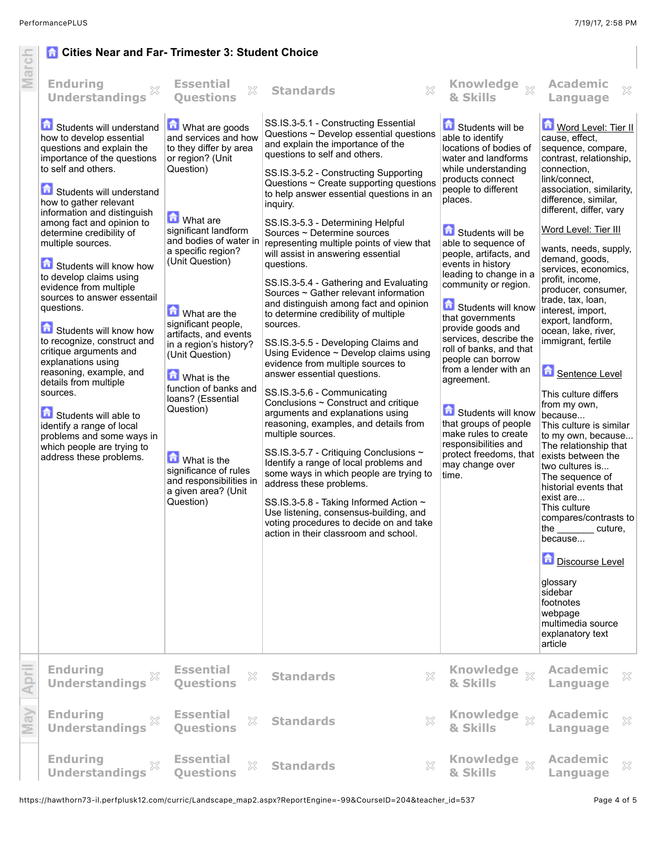## **Cities Near and Far- Trimester 3: Student Choice**

| March | <b>G</b> Cities Near and Far-Trimester 3: Student Choice<br><b>Enduring</b><br>X<br><b>Understandings</b><br>Students will understand<br>how to develop essential<br>questions and explain the<br>importance of the questions<br>to self and others.<br>Students will understand<br>how to gather relevant<br>information and distinguish<br>among fact and opinion to<br>determine credibility of<br>multiple sources.<br>Students will know how<br>to develop claims using<br>evidence from multiple<br>sources to answer essentail<br>questions.<br>Students will know how<br>to recognize, construct and<br>critique arguments and<br>explanations using<br>reasoning, example, and<br>details from multiple<br>sources.<br>Students will able to<br>identify a range of local<br>problems and some ways in | <b>Essential</b><br>$\gtrsim$<br><b>Ouestions</b><br>What are goods<br>and services and how<br>to they differ by area<br>or region? (Unit<br>Question)<br>What are<br>significant landform<br>and bodies of water in<br>a specific region?<br>(Unit Question)<br>What are the<br>significant people,<br>artifacts, and events<br>in a region's history?<br>(Unit Question)<br><b>M</b> What is the<br>function of banks and<br>loans? (Essential<br>Question) | $\mathbb{X}$<br><b>Standards</b><br>SS.IS.3-5.1 - Constructing Essential<br>Questions $\sim$ Develop essential questions<br>and explain the importance of the<br>questions to self and others.<br>SS.IS.3-5.2 - Constructing Supporting<br>Questions ~ Create supporting questions<br>to help answer essential questions in an<br>inquiry.<br>SS.IS.3-5.3 - Determining Helpful<br>Sources ~ Determine sources<br>representing multiple points of view that<br>will assist in answering essential<br>questions.<br>SS.IS.3-5.4 - Gathering and Evaluating<br>Sources ~ Gather relevant information<br>and distinguish among fact and opinion<br>to determine credibility of multiple<br>sources.<br>SS.IS.3-5.5 - Developing Claims and<br>Using Evidence ~ Develop claims using<br>evidence from multiple sources to<br>answer essential questions.<br>SS.IS.3-5.6 - Communicating<br>Conclusions ~ Construct and critique<br>arguments and explanations using<br>reasoning, examples, and details from<br>multiple sources. | Knowledge xx<br>& Skills<br>Students will be<br>able to identify<br>locations of bodies of<br>water and landforms<br>while understanding<br>products connect<br>people to different<br>places.<br>Students will be<br>able to sequence of<br>people, artifacts, and<br>events in history<br>leading to change in a<br>community or region.<br>Students will know<br>that governments<br>provide goods and<br>services, describe the<br>roll of banks, and that<br>people can borrow<br>from a lender with an<br>agreement.<br>Students will know<br>that groups of people<br>make rules to create<br>responsibilities and | <b>Academic</b><br>×<br>Language<br>Word Level: Tier II<br>cause, effect,<br>sequence, compare,<br>contrast, relationship,<br>connection.<br>link/connect.<br>association, similarity,<br>difference, similar,<br>different, differ, vary<br>Word Level: Tier III<br>wants, needs, supply,<br>demand, goods,<br>services, economics,<br>profit, income,<br>producer, consumer,<br>trade, tax, loan,<br>interest, import,<br>export, landform,<br>ocean, lake, river,<br>immigrant, fertile<br>Sentence Level<br>This culture differs<br>from my own,<br>because<br>This culture is similar<br>to my own, because |
|-------|-----------------------------------------------------------------------------------------------------------------------------------------------------------------------------------------------------------------------------------------------------------------------------------------------------------------------------------------------------------------------------------------------------------------------------------------------------------------------------------------------------------------------------------------------------------------------------------------------------------------------------------------------------------------------------------------------------------------------------------------------------------------------------------------------------------------|---------------------------------------------------------------------------------------------------------------------------------------------------------------------------------------------------------------------------------------------------------------------------------------------------------------------------------------------------------------------------------------------------------------------------------------------------------------|-------------------------------------------------------------------------------------------------------------------------------------------------------------------------------------------------------------------------------------------------------------------------------------------------------------------------------------------------------------------------------------------------------------------------------------------------------------------------------------------------------------------------------------------------------------------------------------------------------------------------------------------------------------------------------------------------------------------------------------------------------------------------------------------------------------------------------------------------------------------------------------------------------------------------------------------------------------------------------------------------------------------------------|---------------------------------------------------------------------------------------------------------------------------------------------------------------------------------------------------------------------------------------------------------------------------------------------------------------------------------------------------------------------------------------------------------------------------------------------------------------------------------------------------------------------------------------------------------------------------------------------------------------------------|------------------------------------------------------------------------------------------------------------------------------------------------------------------------------------------------------------------------------------------------------------------------------------------------------------------------------------------------------------------------------------------------------------------------------------------------------------------------------------------------------------------------------------------------------------------------------------------------------------------|
|       | which people are trying to<br>address these problems.                                                                                                                                                                                                                                                                                                                                                                                                                                                                                                                                                                                                                                                                                                                                                           | <b>M</b> What is the<br>significance of rules<br>and responsibilities in<br>a given area? (Unit<br>Question)                                                                                                                                                                                                                                                                                                                                                  | SS.IS.3-5.7 - Critiquing Conclusions ~<br>Identify a range of local problems and<br>some ways in which people are trying to<br>address these problems.<br>SS.IS.3-5.8 - Taking Informed Action ~<br>Use listening, consensus-building, and<br>voting procedures to decide on and take<br>action in their classroom and school.                                                                                                                                                                                                                                                                                                                                                                                                                                                                                                                                                                                                                                                                                                | protect freedoms, that<br>may change over<br>time.                                                                                                                                                                                                                                                                                                                                                                                                                                                                                                                                                                        | The relationship that<br>exists between the<br>two cultures is<br>The sequence of<br>historial events that<br>exist are<br>This culture<br>compares/contrasts to<br>the ________ cuture,<br>because<br>Discourse Level<br>glossary<br>sidebar<br>footnotes<br>webpage<br>multimedia source<br>explanatory text                                                                                                                                                                                                                                                                                                   |
| April | <b>Enduring</b><br>×<br><b>Understandings</b>                                                                                                                                                                                                                                                                                                                                                                                                                                                                                                                                                                                                                                                                                                                                                                   | <b>Essential</b><br>X<br><b>Questions</b>                                                                                                                                                                                                                                                                                                                                                                                                                     | $\mathbb{X}$<br><b>Standards</b>                                                                                                                                                                                                                                                                                                                                                                                                                                                                                                                                                                                                                                                                                                                                                                                                                                                                                                                                                                                              | <b>Knowledge</b><br>$\chi$<br>& Skills                                                                                                                                                                                                                                                                                                                                                                                                                                                                                                                                                                                    | article<br><b>Academic</b><br>X<br>Language                                                                                                                                                                                                                                                                                                                                                                                                                                                                                                                                                                      |
| May   | <b>Enduring</b><br>X<br><b>Understandings</b>                                                                                                                                                                                                                                                                                                                                                                                                                                                                                                                                                                                                                                                                                                                                                                   | <b>Essential</b><br>$\gtrsim$<br><b>Ouestions</b>                                                                                                                                                                                                                                                                                                                                                                                                             | X<br><b>Standards</b>                                                                                                                                                                                                                                                                                                                                                                                                                                                                                                                                                                                                                                                                                                                                                                                                                                                                                                                                                                                                         | Knowledge xx<br>& Skills                                                                                                                                                                                                                                                                                                                                                                                                                                                                                                                                                                                                  | <b>Academic</b><br>$\mathbb{X}$<br>Language                                                                                                                                                                                                                                                                                                                                                                                                                                                                                                                                                                      |
|       | <b>Enduring</b><br>X<br><b>Understandings</b>                                                                                                                                                                                                                                                                                                                                                                                                                                                                                                                                                                                                                                                                                                                                                                   | <b>Essential</b><br>X<br><b>Questions</b>                                                                                                                                                                                                                                                                                                                                                                                                                     | X<br><b>Standards</b>                                                                                                                                                                                                                                                                                                                                                                                                                                                                                                                                                                                                                                                                                                                                                                                                                                                                                                                                                                                                         | <b>Knowledge</b><br>$\chi$<br>& Skills                                                                                                                                                                                                                                                                                                                                                                                                                                                                                                                                                                                    | <b>Academic</b><br>X<br>Language                                                                                                                                                                                                                                                                                                                                                                                                                                                                                                                                                                                 |